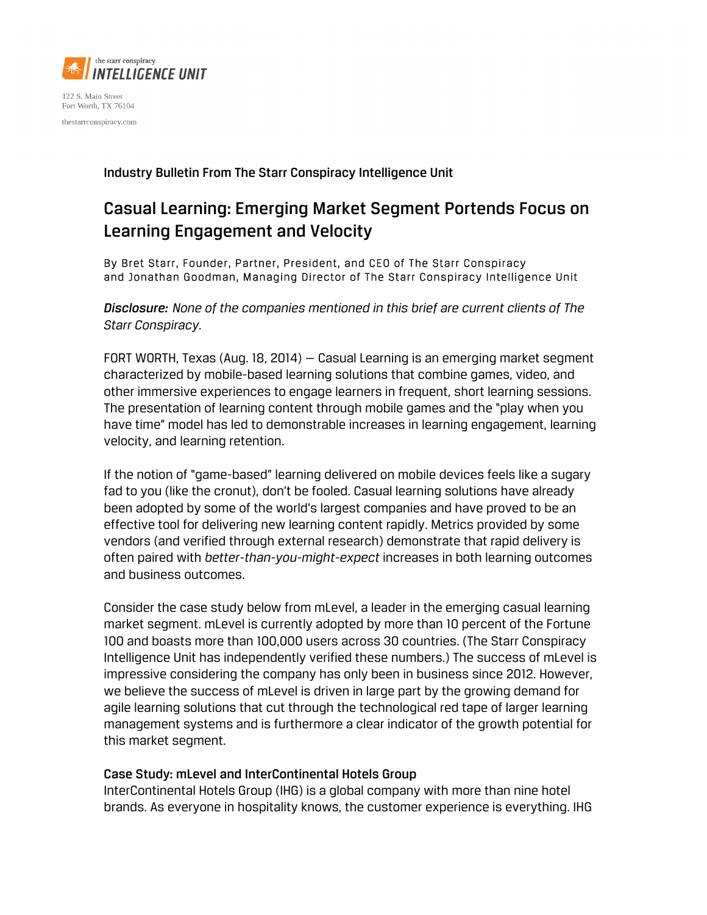

122 S. Main Street Fort Worth, TX 76104 thestarrconspiracy.com

Industry Bulletin From The Starr Conspiracy Intelligence Unit

## Casual Learning: Emerging Market Segment Portends Focus on Learning Engagement and Velocity

By Bret Starr, Founder, Partner, President, and CEO of The Starr Conspiracy and Jonathan Goodman, Managing Director of The Starr Conspiracy Intelligence Unit

*Disclosure: None of the companies mentioned in this brief are current clients of The Starr Conspiracy.*

FORT WORTH, Texas (Aug. 18, 2014) — Casual Learning is an emerging market segment characterized by mobile-based learning solutions that combine games, video, and other immersive experiences to engage learners in frequent, short learning sessions. The presentation of learning content through mobile games and the "play when you have time" model has led to demonstrable increases in learning engagement, learning velocity, and learning retention.

If the notion of "game-based" learning delivered on mobile devices feels like a sugary fad to you (like the cronut), don't be fooled. Casual learning solutions have already been adopted by some of the world's largest companies and have proved to be an effective tool for delivering new learning content rapidly. Metrics provided by some vendors (and verified through external research) demonstrate that rapid delivery is often paired with *better-than-you-might-expect* increases in both learning outcomes and business outcomes.

Consider the case study below from mLevel, a leader in the emerging casual learning market segment. mLevel is currently adopted by more than 10 percent of the Fortune 100 and boasts more than 100,000 users across 30 countries. (The Starr Conspiracy Intelligence Unit has independently verified these numbers.) The success of mLevel is impressive considering the company has only been in business since 2012. However, we believe the success of mLevel is driven in large part by the growing demand for agile learning solutions that cut through the technological red tape of larger learning management systems and is furthermore a clear indicator of the growth potential for this market segment.

## Case Study: mLevel and InterContinental Hotels Group

InterContinental Hotels Group (IHG) is a global company with more than nine hotel brands. As everyone in hospitality knows, the customer experience is everything. IHG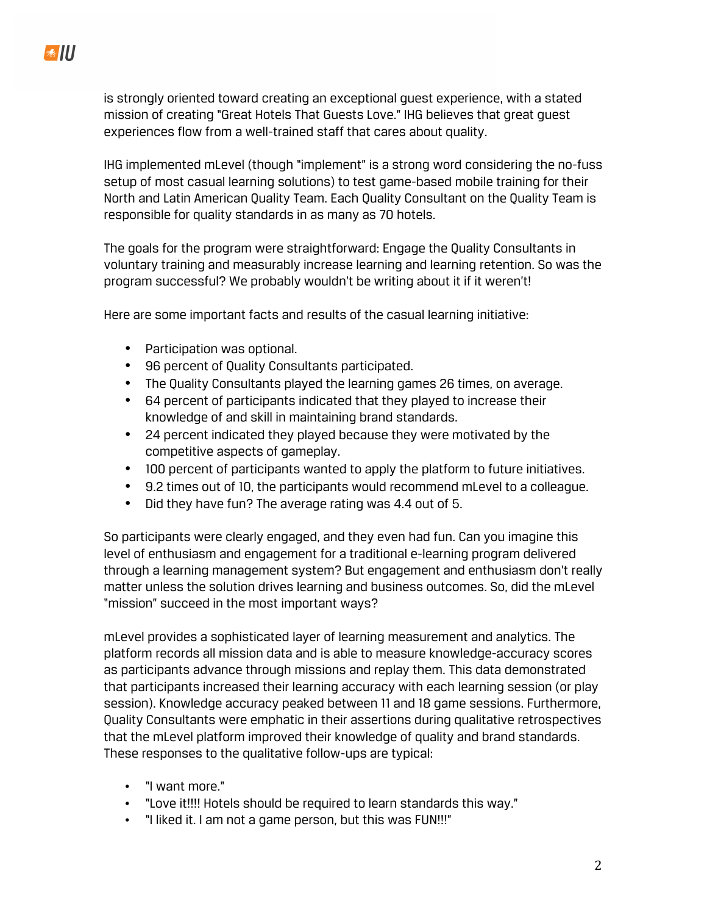is strongly oriented toward creating an exceptional guest experience, with a stated mission of creating "Great Hotels That Guests Love." IHG believes that great guest experiences flow from a well-trained staff that cares about quality.

IHG implemented mLevel (though "implement" is a strong word considering the no-fuss setup of most casual learning solutions) to test game-based mobile training for their North and Latin American Quality Team. Each Quality Consultant on the Quality Team is responsible for quality standards in as many as 70 hotels.

The goals for the program were straightforward: Engage the Quality Consultants in voluntary training and measurably increase learning and learning retention. So was the program successful? We probably wouldn't be writing about it if it weren't!

Here are some important facts and results of the casual learning initiative:

- Participation was optional.
- 96 percent of Quality Consultants participated.
- The Quality Consultants played the learning games 26 times, on average.
- 64 percent of participants indicated that they played to increase their knowledge of and skill in maintaining brand standards.
- 24 percent indicated they played because they were motivated by the competitive aspects of gameplay.
- 100 percent of participants wanted to apply the platform to future initiatives.
- 9.2 times out of 10, the participants would recommend mLevel to a colleague.
- Did they have fun? The average rating was 4.4 out of 5.

So participants were clearly engaged, and they even had fun. Can you imagine this level of enthusiasm and engagement for a traditional e-learning program delivered through a learning management system? But engagement and enthusiasm don't really matter unless the solution drives learning and business outcomes. So, did the mLevel "mission" succeed in the most important ways?

mLevel provides a sophisticated layer of learning measurement and analytics. The platform records all mission data and is able to measure knowledge-accuracy scores as participants advance through missions and replay them. This data demonstrated that participants increased their learning accuracy with each learning session (or play session). Knowledge accuracy peaked between 11 and 18 game sessions. Furthermore, Quality Consultants were emphatic in their assertions during qualitative retrospectives that the mLevel platform improved their knowledge of quality and brand standards. These responses to the qualitative follow-ups are typical:

- "I want more."
- "Love it!!!! Hotels should be required to learn standards this way."
- "I liked it. I am not a game person, but this was FUN!!!"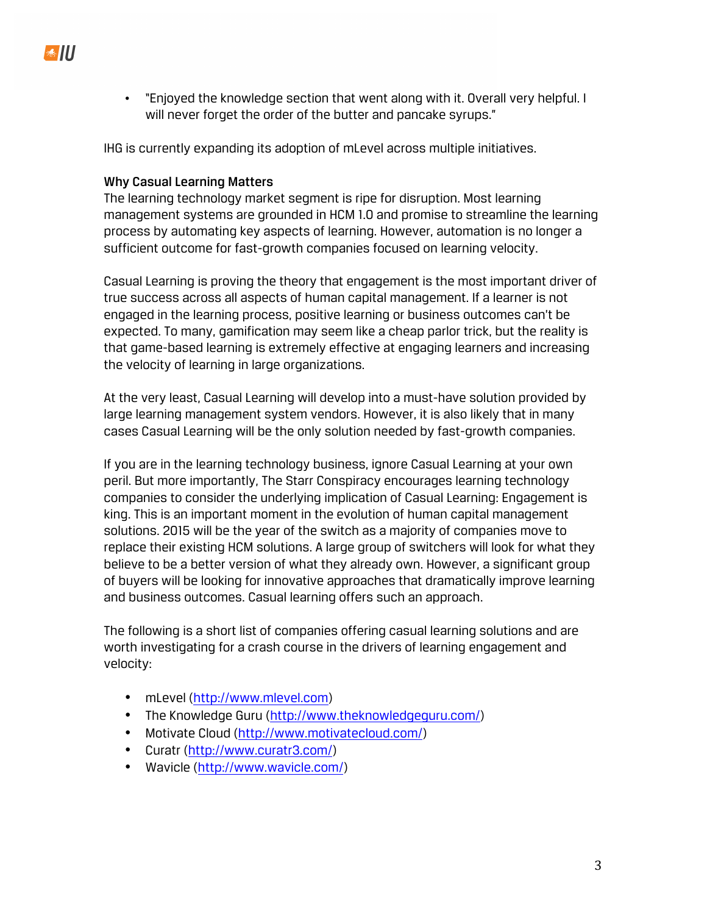• "Enjoyed the knowledge section that went along with it. Overall very helpful. I will never forget the order of the butter and pancake syrups."

IHG is currently expanding its adoption of mLevel across multiple initiatives.

## Why Casual Learning Matters

The learning technology market segment is ripe for disruption. Most learning management systems are grounded in HCM 1.0 and promise to streamline the learning process by automating key aspects of learning. However, automation is no longer a sufficient outcome for fast-growth companies focused on learning velocity.

Casual Learning is proving the theory that engagement is the most important driver of true success across all aspects of human capital management. If a learner is not engaged in the learning process, positive learning or business outcomes can't be expected. To many, gamification may seem like a cheap parlor trick, but the reality is that game-based learning is extremely effective at engaging learners and increasing the velocity of learning in large organizations.

At the very least, Casual Learning will develop into a must-have solution provided by large learning management system vendors. However, it is also likely that in many cases Casual Learning will be the only solution needed by fast-growth companies.

If you are in the learning technology business, ignore Casual Learning at your own peril. But more importantly, The Starr Conspiracy encourages learning technology companies to consider the underlying implication of Casual Learning: Engagement is king. This is an important moment in the evolution of human capital management solutions. 2015 will be the year of the switch as a majority of companies move to replace their existing HCM solutions. A large group of switchers will look for what they believe to be a better version of what they already own. However, a significant group of buyers will be looking for innovative approaches that dramatically improve learning and business outcomes. Casual learning offers such an approach.

The following is a short list of companies offering casual learning solutions and are worth investigating for a crash course in the drivers of learning engagement and velocity:

- mLevel (http://www.mlevel.com)
- The Knowledge Guru (http://www.theknowledgeguru.com/)
- Motivate Cloud (http://www.motivatecloud.com/)
- Curatr (http://www.curatr3.com/)
- Wavicle (http://www.wavicle.com/)